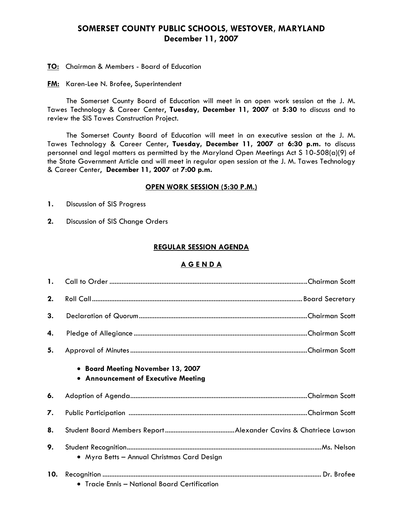# **SOMERSET COUNTY PUBLIC SCHOOLS, WESTOVER, MARYLAND December 11, 2007**

- **TO:** Chairman & Members Board of Education
- **FM:** Karen-Lee N. Brofee, Superintendent

 The Somerset County Board of Education will meet in an open work session at the J. M. Tawes Technology & Career Center, **Tuesday, December 11, 2007** at **5:30** to discuss and to review the SIS Tawes Construction Project.

The Somerset County Board of Education will meet in an executive session at the J. M. Tawes Technology & Career Center, **Tuesday, December 11, 2007** at **6:30 p.m.** to discuss personnel and legal matters as permitted by the Maryland Open Meetings Act S 10-508(a)(9) of the State Government Article and will meet in regular open session at the J. M. Tawes Technology & Career Center, **December 11, 2007** at **7:00 p.m.** 

#### **OPEN WORK SESSION (5:30 P.M.)**

- **1.** Discussion of SIS Progress
- **2.** Discussion of SIS Change Orders

#### **REGULAR SESSION AGENDA**

#### **A G E N D A**

| 1.  |                                                                          |  |
|-----|--------------------------------------------------------------------------|--|
| 2.  |                                                                          |  |
| 3.  |                                                                          |  |
| 4.  |                                                                          |  |
| 5.  |                                                                          |  |
|     | • Board Meeting November 13, 2007<br>• Announcement of Executive Meeting |  |
| 6.  |                                                                          |  |
| 7.  |                                                                          |  |
| 8.  |                                                                          |  |
| 9.  | • Myra Betts - Annual Christmas Card Design                              |  |
| 10. | $\bullet$ Tracie Ennis — National Board Certification                    |  |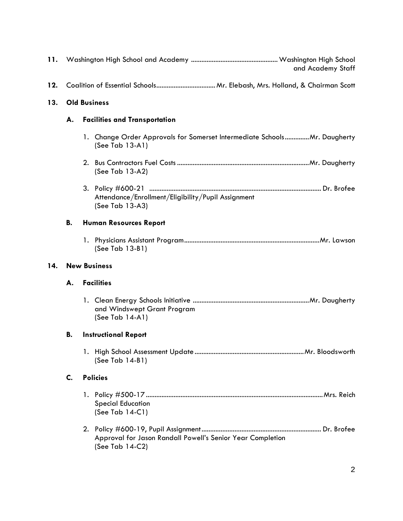| 11. | and Academy Staff                          |  |                                                                                             |
|-----|--------------------------------------------|--|---------------------------------------------------------------------------------------------|
| 12. |                                            |  |                                                                                             |
| 13. | <b>Old Business</b>                        |  |                                                                                             |
|     | <b>Facilities and Transportation</b><br>А. |  |                                                                                             |
|     |                                            |  | 1. Change Order Approvals for Somerset Intermediate SchoolsMr. Daugherty<br>(See Tab 13-A1) |
|     |                                            |  | (See Tab 13-A2)                                                                             |
|     |                                            |  | Attendance/Enrollment/Eligibility/Pupil Assignment<br>(See Tab 13-A3)                       |
|     | В.<br><b>Human Resources Report</b>        |  |                                                                                             |
|     |                                            |  | (See Tab 13-B1)                                                                             |
|     | <b>New Business</b>                        |  |                                                                                             |
| 14. |                                            |  |                                                                                             |
|     | А.                                         |  | <b>Facilities</b>                                                                           |
|     |                                            |  | and Windswept Grant Program<br>(See Tab $14-A1$ )                                           |
|     | В.                                         |  | <b>Instructional Report</b>                                                                 |
|     |                                            |  | (See Tab 14-B1)                                                                             |
|     | C.                                         |  | <b>Policies</b>                                                                             |
|     |                                            |  | <b>Special Education</b><br>(See Tab 14-C1)                                                 |